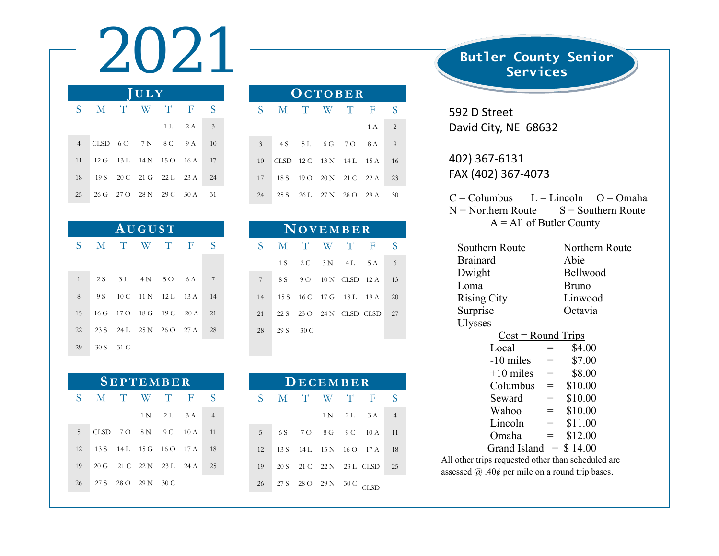2021 **Butler County Senior JULY** S M T W T F S  $1 L$   $2 A$   $3$ 4 CLSD 6 O 7 N 8 C 9 A 10 11 12 G 13 L 14 N 15 O 16 A 17 18 19 S 20 C 21 G 22 L 23 A 24

25 26 G 27 O 28 N 29 C 30 A 31

| AUGUST       |  |           |  |                             |  |     |  |  |  |  |
|--------------|--|-----------|--|-----------------------------|--|-----|--|--|--|--|
| $S =$        |  |           |  | M T W T F                   |  | S   |  |  |  |  |
|              |  |           |  |                             |  |     |  |  |  |  |
| $\mathbf{1}$ |  |           |  | 2S 3L 4N 5O 6A              |  | - 7 |  |  |  |  |
| 8            |  |           |  | 9 S 10 C 11 N 12 L 13 A 14  |  |     |  |  |  |  |
| 15           |  |           |  | 16 G 17 O 18 G 19 C 20 A 21 |  |     |  |  |  |  |
| 22           |  |           |  | 23 S 24 L 25 N 26 O 27 A 28 |  |     |  |  |  |  |
| 29           |  | 30 S 31 C |  |                             |  |     |  |  |  |  |

| <b>SEPTEMBER</b> |                             |  |  |                             |  |                |  |  |  |  |
|------------------|-----------------------------|--|--|-----------------------------|--|----------------|--|--|--|--|
|                  | SMTWTF                      |  |  |                             |  | S              |  |  |  |  |
|                  |                             |  |  | 1 N 2 L 3 A                 |  | $\overline{4}$ |  |  |  |  |
| $5^{\circ}$      |                             |  |  | CLSD 7 O 8 N 9 C 10 A       |  | 11             |  |  |  |  |
| 12               | 13 S 14 L 15 G 16 O 17 A 18 |  |  |                             |  |                |  |  |  |  |
| 19               |                             |  |  | 20 G 21 C 22 N 23 L 24 A 25 |  |                |  |  |  |  |
| 26               | 27 S 28 O 29 N 30 C         |  |  |                             |  |                |  |  |  |  |

| OCTOBER |             |  |  |                          |     |                |  |  |  |
|---------|-------------|--|--|--------------------------|-----|----------------|--|--|--|
|         | S M T W T F |  |  |                          |     | S              |  |  |  |
|         |             |  |  |                          | 1 A | 2              |  |  |  |
| 3       |             |  |  | 4S 5L 6G 7O 8A           |     | $\overline{9}$ |  |  |  |
| 10      |             |  |  | CLSD 12 C 13 N 14 L 15 A |     | 16             |  |  |  |
| 17      |             |  |  | 18 S 19 O 20 N 21 C 22 A |     | 23             |  |  |  |
| 24      |             |  |  | 25 S 26 L 27 N 28 O 29 A |     | 30             |  |  |  |

| NOVEMBER |           |  |  |                             |  |   |  |  |  |  |
|----------|-----------|--|--|-----------------------------|--|---|--|--|--|--|
| S.       |           |  |  | M T W T F                   |  | S |  |  |  |  |
|          |           |  |  | 1 S 2 C 3 N 4 L 5 A         |  | 6 |  |  |  |  |
| 7        |           |  |  | 8 S 9 O 10 N CLSD 12 A 13   |  |   |  |  |  |  |
| 14       |           |  |  | 15 S 16 C 17 G 18 L 19 A 20 |  |   |  |  |  |  |
| 21       |           |  |  | 22 S 23 O 24 N CLSD CLSD 27 |  |   |  |  |  |  |
| 28       | 29 S 30 C |  |  |                             |  |   |  |  |  |  |

| DECEMBER |  |                          |  |  |                             |                |  |  |  |
|----------|--|--------------------------|--|--|-----------------------------|----------------|--|--|--|
|          |  | S M T W T F              |  |  |                             | S              |  |  |  |
|          |  |                          |  |  | 1 N 2 L 3 A                 | $\overline{4}$ |  |  |  |
| 5        |  |                          |  |  | 6S 7O 8G 9C 10A 11          |                |  |  |  |
| 12       |  |                          |  |  | 13 S 14 L 15 N 16 O 17 A 18 |                |  |  |  |
| 19       |  |                          |  |  | 20 S 21 C 22 N 23 L CLSD 25 |                |  |  |  |
| 26       |  | 27 S 28 O 29 N 30 C CLSD |  |  |                             |                |  |  |  |

Services

592 D Street David City, NE 68632

402) 367‐6131 FAX (402) 367‐4073

 $C =$  Columbus  $L =$  Lincoln  $O =$  Omaha  $N =$  Northern Route  $S =$  Southern Route  $A = All of Butler County$ 

| Southern Route                                          | Northern Route |              |  |  |  |  |  |
|---------------------------------------------------------|----------------|--------------|--|--|--|--|--|
| <b>Brainard</b>                                         |                | Abie         |  |  |  |  |  |
| Dwight                                                  |                | Bellwood     |  |  |  |  |  |
| Loma                                                    |                | <b>Bruno</b> |  |  |  |  |  |
| <b>Rising City</b>                                      |                | Linwood      |  |  |  |  |  |
| Surprise                                                |                | Octavia      |  |  |  |  |  |
| <b>Ulysses</b>                                          |                |              |  |  |  |  |  |
| $Cost = Round$ Trips                                    |                |              |  |  |  |  |  |
| Local                                                   | =              | \$4.00       |  |  |  |  |  |
| -10 miles                                               | $=$            | \$7.00       |  |  |  |  |  |
| $+10$ miles                                             | $=$            | \$8.00       |  |  |  |  |  |
| Columbus                                                | $=$ $\qquad$   | \$10.00      |  |  |  |  |  |
| Seward                                                  | $=$            | \$10.00      |  |  |  |  |  |
| Wahoo                                                   | $=$            | \$10.00      |  |  |  |  |  |
| Lincoln                                                 | $=$            | \$11.00      |  |  |  |  |  |
| Omaha                                                   | $\quad =$      | \$12.00      |  |  |  |  |  |
| Grand Island $=$ \$14.00                                |                |              |  |  |  |  |  |
| All other trips requested other than scheduled are      |                |              |  |  |  |  |  |
| assessed $\omega$ . 40¢ per mile on a round trip bases. |                |              |  |  |  |  |  |